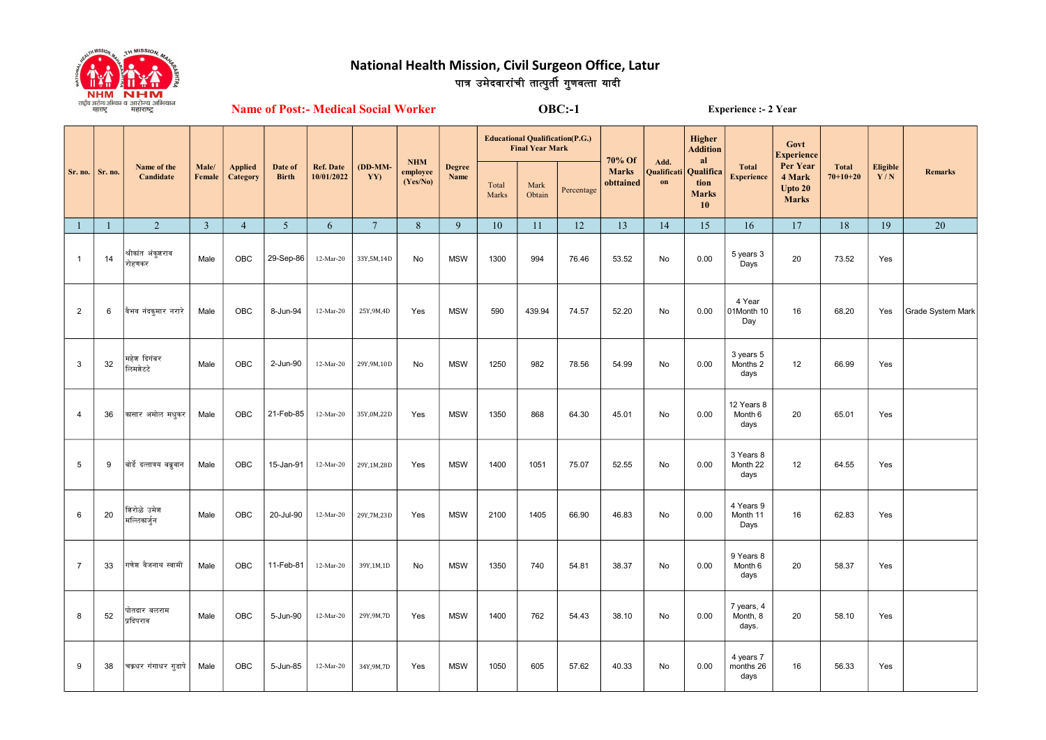

## पात्र उमेदवारांची तात्पुर्ती गुणवत्ता यादी National Health Mission, Civil Surgeon Office, Latur

Name of Post:- Medical Social Worker OBC:-1 Experience :- 2 Year

| Sr. no.        | Sr. no.      | Name of the<br>Candidate    | Male/<br>Female | <b>Applied</b><br>Category | Date of<br><b>Birth</b> | <b>Ref. Date</b><br>10/01/2022 | $(DD-MM-$<br>YY) | <b>NHM</b><br>employee<br>(Yes/No) | Degree<br>Name | <b>Educational Qualification(P.G.)</b><br><b>Final Year Mark</b> |                |            | 70% Of                    | Add.                         | Higher<br><b>Addition</b><br>al         |                                   | Govt<br><b>Experience</b>                     |                                |                        |                   |
|----------------|--------------|-----------------------------|-----------------|----------------------------|-------------------------|--------------------------------|------------------|------------------------------------|----------------|------------------------------------------------------------------|----------------|------------|---------------------------|------------------------------|-----------------------------------------|-----------------------------------|-----------------------------------------------|--------------------------------|------------------------|-------------------|
|                |              |                             |                 |                            |                         |                                |                  |                                    |                | Total<br>Marks                                                   | Mark<br>Obtain | Percentage | <b>Marks</b><br>obttained | Qualificati<br>$\mathbf{on}$ | Qualifica<br>tion<br><b>Marks</b><br>10 | <b>Total</b><br><b>Experience</b> | Per Year<br>4 Mark<br>Upto 20<br><b>Marks</b> | <b>Total</b><br>$70 + 10 + 20$ | <b>Eligible</b><br>Y/N | Remarks           |
| $\mathbf{1}$   | $\mathbf{1}$ | 2                           | $\overline{3}$  | $\overline{4}$             | 5 <sup>5</sup>          | 6                              | $7\phantom{.0}$  | 8                                  | 9              | 10                                                               | 11             | 12         | 13                        | 14                           | 15                                      | 16                                | 17                                            | 18                             | 19                     | 20                |
| $\overline{1}$ | 14           | श्रीकांत अंकुशराव<br>रोहणकर | Male            | OBC                        | 29-Sep-86               | 12-Mar-20                      | 33Y,5M,14D       | No                                 | <b>MSW</b>     | 1300                                                             | 994            | 76.46      | 53.52                     | No                           | 0.00                                    | 5 years 3<br>Days                 | 20                                            | 73.52                          | Yes                    |                   |
| $\overline{2}$ | 6            | वैभव नंदकुमार नरारे         | Male            | <b>OBC</b>                 | 8-Jun-94                | 12-Mar-20                      | 25Y, 9M, 4D      | Yes                                | <b>MSW</b>     | 590                                                              | 439.94         | 74.57      | 52.20                     | No                           | 0.00                                    | 4 Year<br>01Month 10<br>Day       | 16                                            | 68.20                          | Yes                    | Grade System Mark |
| 3              | 32           | महेश दिगंबर<br>लिमशेटटे     | Male            | OBC                        | 2-Jun-90                | 12-Mar-20                      | 29Y, 9M, 10D     | No                                 | <b>MSW</b>     | 1250                                                             | 982            | 78.56      | 54.99                     | No                           | 0.00                                    | 3 years 5<br>Months 2<br>days     | 12                                            | 66.99                          | Yes                    |                   |
| $\overline{4}$ | 36           | कासार अमोल मधुकर            | Male            | OBC                        | 21-Feb-85               | 12-Mar-20                      | 35Y,0M,22D       | Yes                                | <b>MSW</b>     | 1350                                                             | 868            | 64.30      | 45.01                     | No                           | 0.00                                    | 12 Years 8<br>Month 6<br>days     | 20                                            | 65.01                          | Yes                    |                   |
| $\overline{5}$ | 9            | बोर्डे दत्तात्रय बब्रुवान   | Male            | <b>OBC</b>                 | 15-Jan-91               | 12-Mar-20                      | 29Y,1M,28D       | Yes                                | <b>MSW</b>     | 1400                                                             | 1051           | 75.07      | 52.55                     | No                           | 0.00                                    | 3 Years 8<br>Month 22<br>days     | 12                                            | 64.55                          | Yes                    |                   |
| 6              | 20           | शिरोळे उमेश<br>मल्लिकार्जुन | Male            | <b>OBC</b>                 | 20-Jul-90               | 12-Mar-20                      | 29Y, 7M, 23D     | Yes                                | <b>MSW</b>     | 2100                                                             | 1405           | 66.90      | 46.83                     | No                           | 0.00                                    | 4 Years 9<br>Month 11<br>Days     | 16                                            | 62.83                          | Yes                    |                   |
| $\overline{7}$ | 33           | गणेश वैजनाथ स्वामी          | Male            | OBC                        | 11-Feb-81               | 12-Mar-20                      | 39Y,1M,1D        | No                                 | <b>MSW</b>     | 1350                                                             | 740            | 54.81      | 38.37                     | No                           | 0.00                                    | 9 Years 8<br>Month 6<br>days      | 20                                            | 58.37                          | Yes                    |                   |
| 8              | 52           | पोतदार बलराम<br>प्रदिपराव   | Male            | OBC                        | 5-Jun-90                | 12-Mar-20                      | 29Y, 9M, 7D      | Yes                                | <b>MSW</b>     | 1400                                                             | 762            | 54.43      | 38.10                     | No                           | 0.00                                    | 7 years, 4<br>Month, 8<br>days.   | 20                                            | 58.10                          | Yes                    |                   |
| 9              | 38           | चक्रधर गंगाधर गुडापे        | Male            | <b>OBC</b>                 | 5-Jun-85                | 12-Mar-20                      | 34Y, 9M, 7D      | Yes                                | <b>MSW</b>     | 1050                                                             | 605            | 57.62      | 40.33                     | No                           | 0.00                                    | 4 years 7<br>months 26<br>days    | 16                                            | 56.33                          | Yes                    |                   |